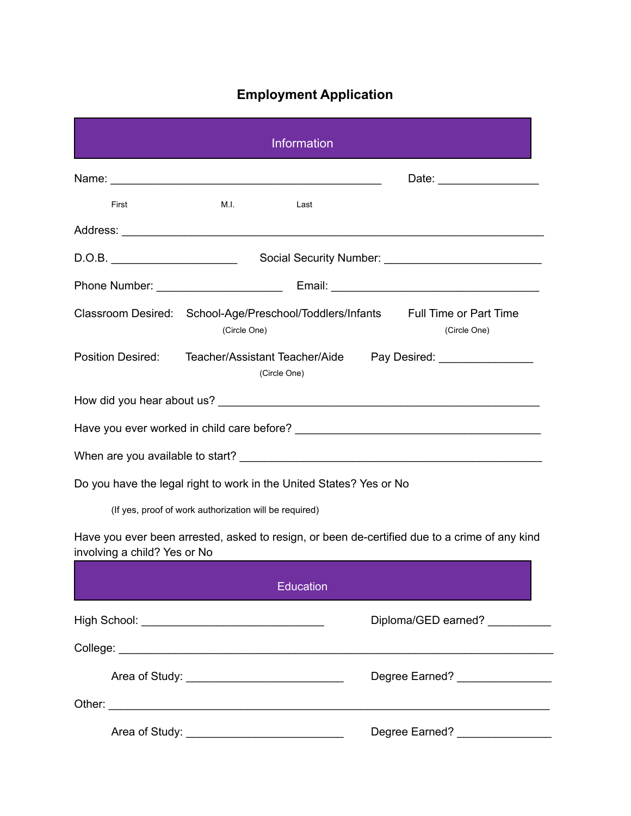## **Employment Application**

| <b>Information</b>                                                                                           |                                                        |                                                                     |                                                                                                 |  |  |
|--------------------------------------------------------------------------------------------------------------|--------------------------------------------------------|---------------------------------------------------------------------|-------------------------------------------------------------------------------------------------|--|--|
|                                                                                                              |                                                        |                                                                     | Date: __________________                                                                        |  |  |
| First                                                                                                        | M.I.                                                   | Last                                                                |                                                                                                 |  |  |
|                                                                                                              |                                                        |                                                                     |                                                                                                 |  |  |
|                                                                                                              |                                                        |                                                                     |                                                                                                 |  |  |
|                                                                                                              |                                                        |                                                                     |                                                                                                 |  |  |
|                                                                                                              | (Circle One)                                           |                                                                     | Classroom Desired: School-Age/Preschool/Toddlers/Infants Full Time or Part Time<br>(Circle One) |  |  |
| <b>Position Desired:</b><br>Teacher/Assistant Teacher/Aide<br>Pay Desired: _________________<br>(Circle One) |                                                        |                                                                     |                                                                                                 |  |  |
|                                                                                                              |                                                        |                                                                     |                                                                                                 |  |  |
|                                                                                                              |                                                        |                                                                     |                                                                                                 |  |  |
|                                                                                                              |                                                        |                                                                     |                                                                                                 |  |  |
|                                                                                                              |                                                        | Do you have the legal right to work in the United States? Yes or No |                                                                                                 |  |  |
|                                                                                                              | (If yes, proof of work authorization will be required) |                                                                     |                                                                                                 |  |  |
| involving a child? Yes or No                                                                                 |                                                        |                                                                     | Have you ever been arrested, asked to resign, or been de-certified due to a crime of any kind   |  |  |
|                                                                                                              |                                                        | Education                                                           |                                                                                                 |  |  |
|                                                                                                              |                                                        |                                                                     | Diploma/GED earned? ___________                                                                 |  |  |
|                                                                                                              |                                                        |                                                                     |                                                                                                 |  |  |
|                                                                                                              |                                                        |                                                                     | Degree Earned? _________________                                                                |  |  |
|                                                                                                              |                                                        |                                                                     |                                                                                                 |  |  |
|                                                                                                              |                                                        |                                                                     | Degree Earned? ________________                                                                 |  |  |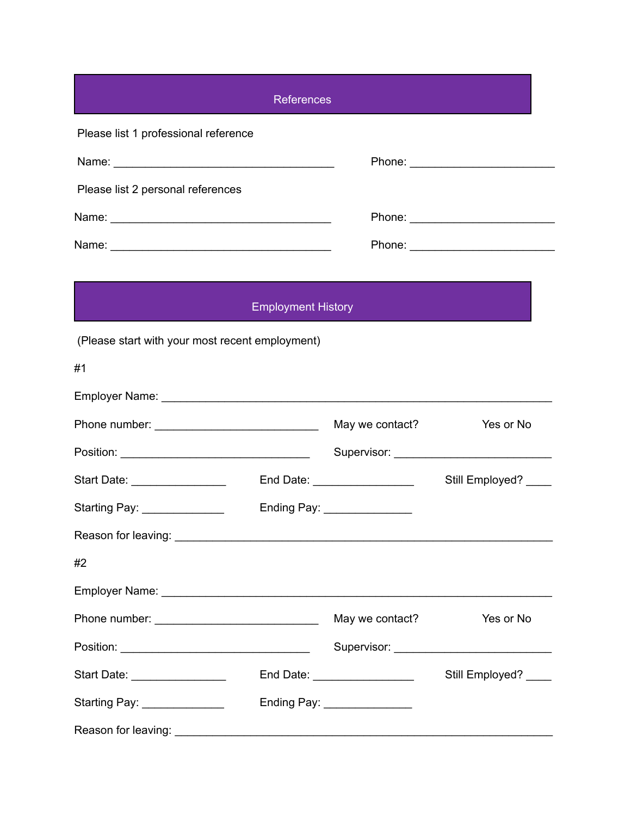|                                                 | <b>References</b>         |                               |                       |
|-------------------------------------------------|---------------------------|-------------------------------|-----------------------|
| Please list 1 professional reference            |                           |                               |                       |
|                                                 |                           |                               |                       |
| Please list 2 personal references               |                           |                               |                       |
|                                                 |                           |                               |                       |
|                                                 |                           |                               |                       |
|                                                 |                           |                               |                       |
|                                                 | <b>Employment History</b> |                               |                       |
| (Please start with your most recent employment) |                           |                               |                       |
| #1                                              |                           |                               |                       |
|                                                 |                           |                               |                       |
|                                                 |                           | May we contact?               | Yes or No             |
|                                                 |                           |                               |                       |
|                                                 |                           | End Date: ___________________ | Still Employed? _____ |
| Starting Pay: ______________                    |                           | Ending Pay: _______________   |                       |
|                                                 |                           |                               |                       |
| #2                                              |                           |                               |                       |
|                                                 |                           |                               |                       |
|                                                 |                           | May we contact?               | Yes or No             |
|                                                 |                           |                               |                       |
| Start Date: _________________                   |                           | End Date: ___________________ | Still Employed? ____  |
| Starting Pay: ______________                    |                           | Ending Pay: ________________  |                       |
|                                                 |                           |                               |                       |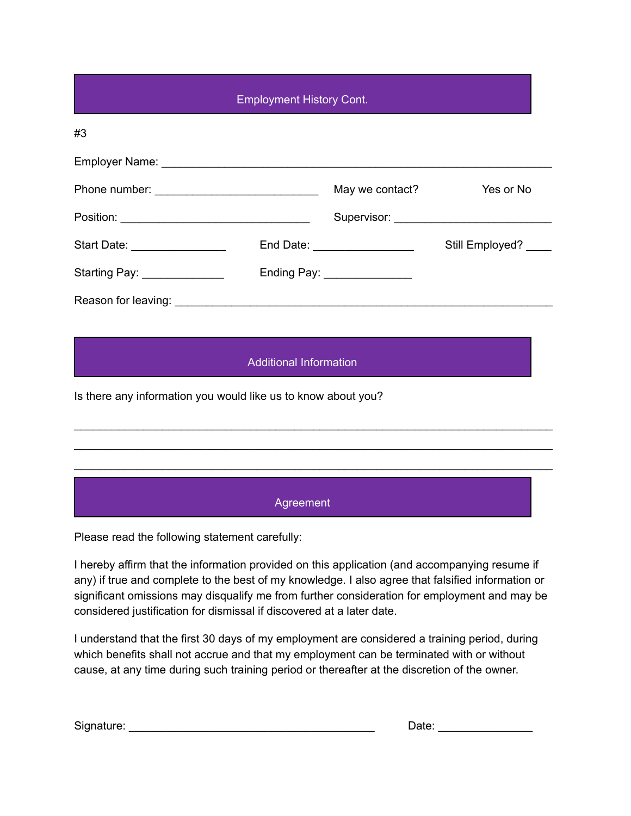| <b>Employment History Cont.</b> |  |                               |                 |  |  |
|---------------------------------|--|-------------------------------|-----------------|--|--|
| #3                              |  |                               |                 |  |  |
|                                 |  |                               |                 |  |  |
|                                 |  | May we contact?               | Yes or No       |  |  |
|                                 |  |                               |                 |  |  |
| Start Date: _________________   |  | End Date: ___________________ | Still Employed? |  |  |
| Starting Pay: ______________    |  | Ending Pay: ________________  |                 |  |  |
|                                 |  |                               |                 |  |  |

## Additional Information

\_\_\_\_\_\_\_\_\_\_\_\_\_\_\_\_\_\_\_\_\_\_\_\_\_\_\_\_\_\_\_\_\_\_\_\_\_\_\_\_\_\_\_\_\_\_\_\_\_\_\_\_\_\_\_\_\_\_\_\_\_\_\_\_\_\_\_\_\_\_\_\_\_\_\_\_ \_\_\_\_\_\_\_\_\_\_\_\_\_\_\_\_\_\_\_\_\_\_\_\_\_\_\_\_\_\_\_\_\_\_\_\_\_\_\_\_\_\_\_\_\_\_\_\_\_\_\_\_\_\_\_\_\_\_\_\_\_\_\_\_\_\_\_\_\_\_\_\_\_\_\_\_ \_\_\_\_\_\_\_\_\_\_\_\_\_\_\_\_\_\_\_\_\_\_\_\_\_\_\_\_\_\_\_\_\_\_\_\_\_\_\_\_\_\_\_\_\_\_\_\_\_\_\_\_\_\_\_\_\_\_\_\_\_\_\_\_\_\_\_\_\_\_\_\_\_\_\_\_

Is there any information you would like us to know about you?

Agreement

Please read the following statement carefully:

I hereby affirm that the information provided on this application (and accompanying resume if any) if true and complete to the best of my knowledge. I also agree that falsified information or significant omissions may disqualify me from further consideration for employment and may be considered justification for dismissal if discovered at a later date.

I understand that the first 30 days of my employment are considered a training period, during which benefits shall not accrue and that my employment can be terminated with or without cause, at any time during such training period or thereafter at the discretion of the owner.

| Signature:<br>Jale |
|--------------------|
|--------------------|